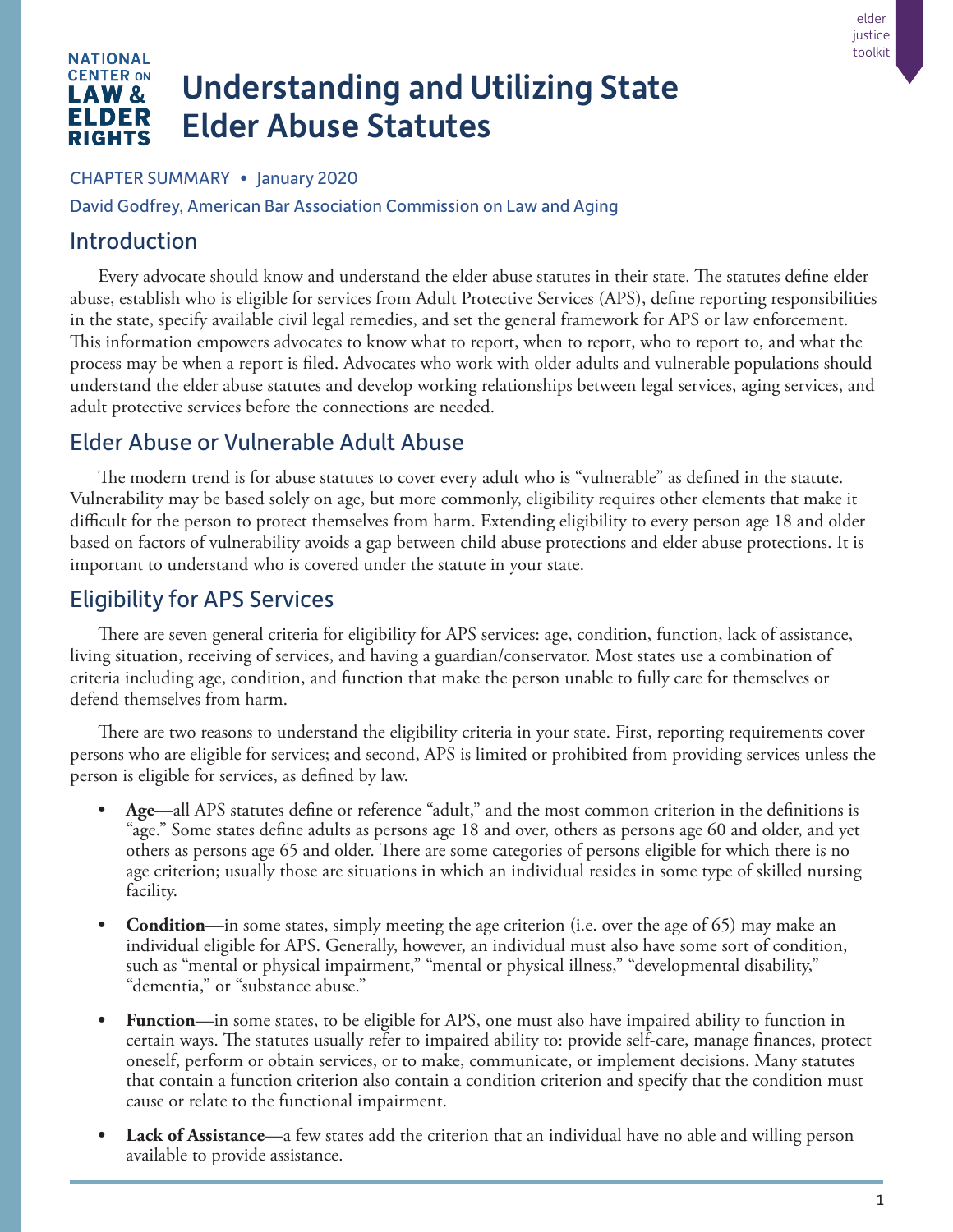#### **NATIONAL CENTER ON** Understanding and Utilizing State LAW & ELDER Elder Abuse Statutes **RIGHTS**

#### CHAPTER SUMMARY • January 2020

David Godfrey, American Bar Association Commission on Law and Aging

### Introduction

Every advocate should know and understand the elder abuse statutes in their state. The statutes define elder abuse, establish who is eligible for services from Adult Protective Services (APS), define reporting responsibilities in the state, specify available civil legal remedies, and set the general framework for APS or law enforcement. This information empowers advocates to know what to report, when to report, who to report to, and what the process may be when a report is filed. Advocates who work with older adults and vulnerable populations should understand the elder abuse statutes and develop working relationships between legal services, aging services, and adult protective services before the connections are needed.

# Elder Abuse or Vulnerable Adult Abuse

The modern trend is for abuse statutes to cover every adult who is "vulnerable" as defined in the statute. Vulnerability may be based solely on age, but more commonly, eligibility requires other elements that make it difficult for the person to protect themselves from harm. Extending eligibility to every person age 18 and older based on factors of vulnerability avoids a gap between child abuse protections and elder abuse protections. It is important to understand who is covered under the statute in your state.

# Eligibility for APS Services

There are seven general criteria for eligibility for APS services: age, condition, function, lack of assistance, living situation, receiving of services, and having a guardian/conservator. Most states use a combination of criteria including age, condition, and function that make the person unable to fully care for themselves or defend themselves from harm.

There are two reasons to understand the eligibility criteria in your state. First, reporting requirements cover persons who are eligible for services; and second, APS is limited or prohibited from providing services unless the person is eligible for services, as defined by law.

- **• Age**—all APS statutes define or reference "adult," and the most common criterion in the definitions is "age." Some states define adults as persons age 18 and over, others as persons age 60 and older, and yet others as persons age 65 and older. There are some categories of persons eligible for which there is no age criterion; usually those are situations in which an individual resides in some type of skilled nursing facility.
- **Condition**—in some states, simply meeting the age criterion (i.e. over the age of 65) may make an individual eligible for APS. Generally, however, an individual must also have some sort of condition, such as "mental or physical impairment," "mental or physical illness," "developmental disability," "dementia," or "substance abuse."
- **• Function**—in some states, to be eligible for APS, one must also have impaired ability to function in certain ways. The statutes usually refer to impaired ability to: provide self-care, manage finances, protect oneself, perform or obtain services, or to make, communicate, or implement decisions. Many statutes that contain a function criterion also contain a condition criterion and specify that the condition must cause or relate to the functional impairment.
- **Lack of Assistance—a** few states add the criterion that an individual have no able and willing person available to provide assistance.

elder justice toolkit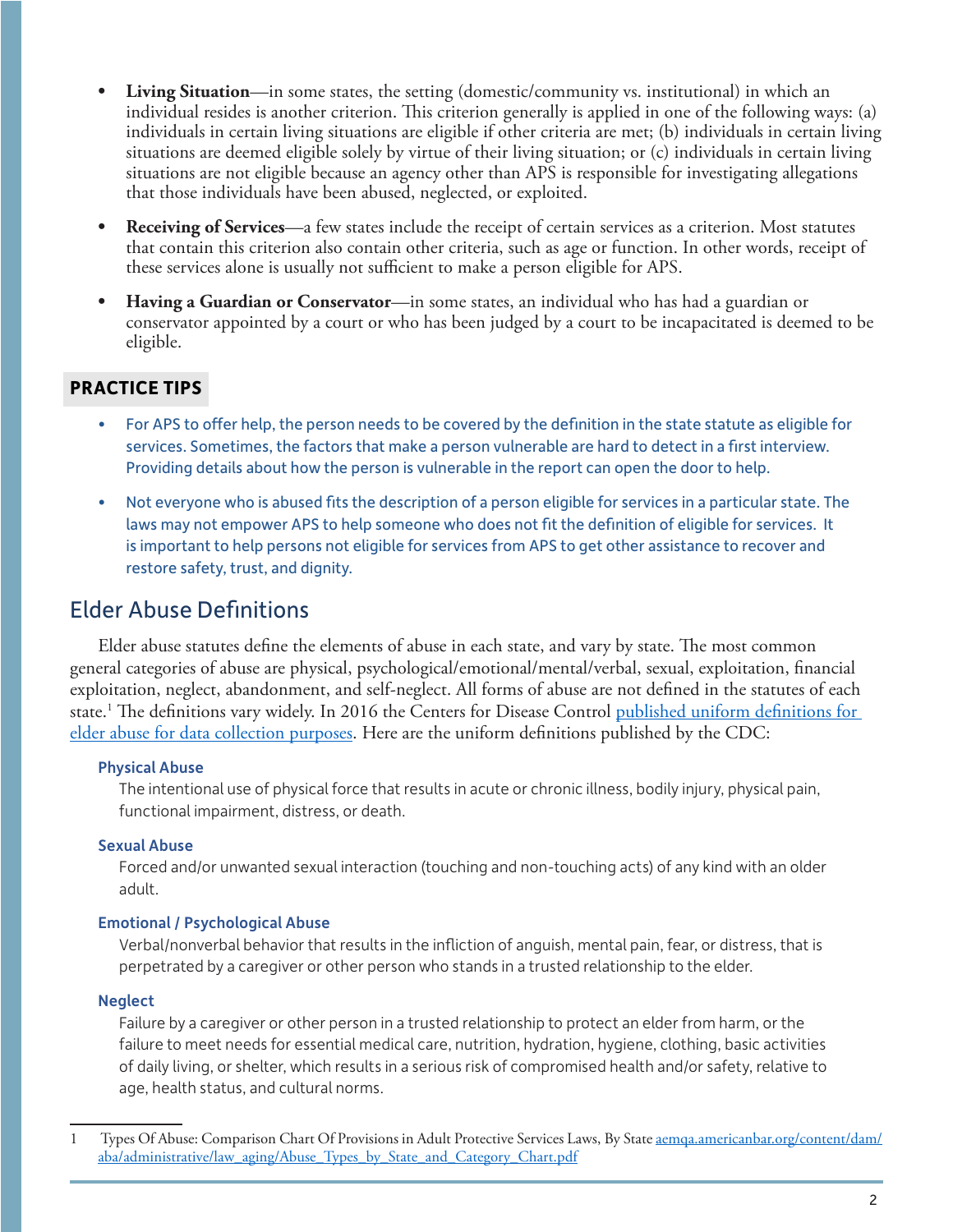- **Living Situation—in** some states, the setting (domestic/community vs. institutional) in which an individual resides is another criterion. This criterion generally is applied in one of the following ways: (a) individuals in certain living situations are eligible if other criteria are met; (b) individuals in certain living situations are deemed eligible solely by virtue of their living situation; or (c) individuals in certain living situations are not eligible because an agency other than APS is responsible for investigating allegations that those individuals have been abused, neglected, or exploited.
- **• Receiving of Services**—a few states include the receipt of certain services as a criterion. Most statutes that contain this criterion also contain other criteria, such as age or function. In other words, receipt of these services alone is usually not sufficient to make a person eligible for APS.
- **• Having a Guardian or Conservator**—in some states, an individual who has had a guardian or conservator appointed by a court or who has been judged by a court to be incapacitated is deemed to be eligible.

### **PRACTICE TIPS**

- For APS to offer help, the person needs to be covered by the definition in the state statute as eligible for services. Sometimes, the factors that make a person vulnerable are hard to detect in a first interview. Providing details about how the person is vulnerable in the report can open the door to help.
- Not everyone who is abused fits the description of a person eligible for services in a particular state. The laws may not empower APS to help someone who does not fit the definition of eligible for services. It is important to help persons not eligible for services from APS to get other assistance to recover and restore safety, trust, and dignity.

# Elder Abuse Definitions

Elder abuse statutes define the elements of abuse in each state, and vary by state. The most common general categories of abuse are physical, psychological/emotional/mental/verbal, sexual, exploitation, financial exploitation, neglect, abandonment, and self-neglect. All forms of abuse are not defined in the statutes of each state.<sup>1</sup> The definitions vary widely. In 2016 the Centers for Disease Control <u>published uniform definitions for</u> [elder abuse for data collection purposes.](https://www.cdc.gov/violenceprevention/pdf/ea_book_revised_2016.pdf) Here are the uniform definitions published by the CDC:

#### Physical Abuse

The intentional use of physical force that results in acute or chronic illness, bodily injury, physical pain, functional impairment, distress, or death.

### Sexual Abuse

Forced and/or unwanted sexual interaction (touching and non-touching acts) of any kind with an older adult.

### Emotional / Psychological Abuse

Verbal/nonverbal behavior that results in the infliction of anguish, mental pain, fear, or distress, that is perpetrated by a caregiver or other person who stands in a trusted relationship to the elder.

### **Neglect**

Failure by a caregiver or other person in a trusted relationship to protect an elder from harm, or the failure to meet needs for essential medical care, nutrition, hydration, hygiene, clothing, basic activities of daily living, or shelter, which results in a serious risk of compromised health and/or safety, relative to age, health status, and cultural norms.

<sup>1</sup> Types Of Abuse: Comparison Chart Of Provisions in Adult Protective Services Laws, By State [aemqa.americanbar.org/content/dam/](https://aemqa.americanbar.org/content/dam/aba/administrative/law_aging/Abuse_Types_by_State_and_Category_Chart.pdf) [aba/administrative/law\\_aging/Abuse\\_Types\\_by\\_State\\_and\\_Category\\_Chart.pdf](https://aemqa.americanbar.org/content/dam/aba/administrative/law_aging/Abuse_Types_by_State_and_Category_Chart.pdf)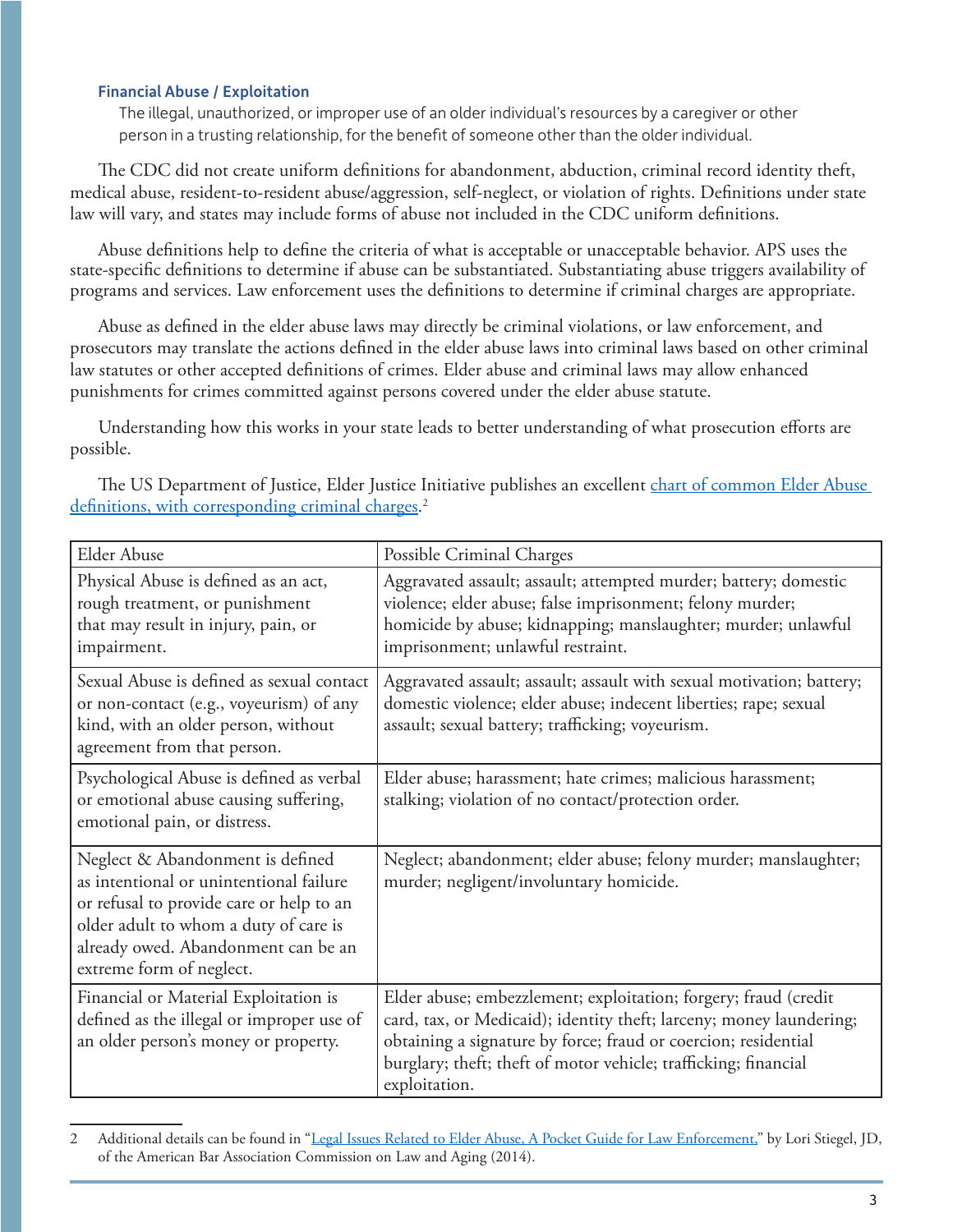#### Financial Abuse / Exploitation

The illegal, unauthorized, or improper use of an older individual's resources by a caregiver or other person in a trusting relationship, for the benefit of someone other than the older individual.

The CDC did not create uniform definitions for abandonment, abduction, criminal record identity theft, medical abuse, resident-to-resident abuse/aggression, self-neglect, or violation of rights. Definitions under state law will vary, and states may include forms of abuse not included in the CDC uniform definitions.

Abuse definitions help to define the criteria of what is acceptable or unacceptable behavior. APS uses the state-specific definitions to determine if abuse can be substantiated. Substantiating abuse triggers availability of programs and services. Law enforcement uses the definitions to determine if criminal charges are appropriate.

Abuse as defined in the elder abuse laws may directly be criminal violations, or law enforcement, and prosecutors may translate the actions defined in the elder abuse laws into criminal laws based on other criminal law statutes or other accepted definitions of crimes. Elder abuse and criminal laws may allow enhanced punishments for crimes committed against persons covered under the elder abuse statute.

Understanding how this works in your state leads to better understanding of what prosecution efforts are possible.

| <b>Elder Abuse</b>                                                                                                                                                                                                                  | Possible Criminal Charges                                                                                                                                                                                                                                                                    |
|-------------------------------------------------------------------------------------------------------------------------------------------------------------------------------------------------------------------------------------|----------------------------------------------------------------------------------------------------------------------------------------------------------------------------------------------------------------------------------------------------------------------------------------------|
| Physical Abuse is defined as an act,<br>rough treatment, or punishment<br>that may result in injury, pain, or<br>impairment.                                                                                                        | Aggravated assault; assault; attempted murder; battery; domestic<br>violence; elder abuse; false imprisonment; felony murder;<br>homicide by abuse; kidnapping; manslaughter; murder; unlawful<br>imprisonment; unlawful restraint.                                                          |
| Sexual Abuse is defined as sexual contact<br>or non-contact (e.g., voyeurism) of any<br>kind, with an older person, without<br>agreement from that person.                                                                          | Aggravated assault; assault; assault with sexual motivation; battery;<br>domestic violence; elder abuse; indecent liberties; rape; sexual<br>assault; sexual battery; trafficking; voyeurism.                                                                                                |
| Psychological Abuse is defined as verbal<br>or emotional abuse causing suffering,<br>emotional pain, or distress.                                                                                                                   | Elder abuse; harassment; hate crimes; malicious harassment;<br>stalking; violation of no contact/protection order.                                                                                                                                                                           |
| Neglect & Abandonment is defined<br>as intentional or unintentional failure<br>or refusal to provide care or help to an<br>older adult to whom a duty of care is<br>already owed. Abandonment can be an<br>extreme form of neglect. | Neglect; abandonment; elder abuse; felony murder; manslaughter;<br>murder; negligent/involuntary homicide.                                                                                                                                                                                   |
| Financial or Material Exploitation is<br>defined as the illegal or improper use of<br>an older person's money or property.                                                                                                          | Elder abuse; embezzlement; exploitation; forgery; fraud (credit<br>card, tax, or Medicaid); identity theft; larceny; money laundering;<br>obtaining a signature by force; fraud or coercion; residential<br>burglary; theft; theft of motor vehicle; trafficking; financial<br>exploitation. |

The US Department of Justice, Elder Justice Initiative publishes an excellent [chart of common Elder Abuse](https://www.justice.gov/elderjustice/file/886971/download)  [definitions, with corresponding criminal charges.](https://www.justice.gov/elderjustice/file/886971/download)<sup>2</sup>

<sup>2</sup> Additional details can be found in "[Legal Issues Related to Elder Abuse, A Pocket Guide for Law Enforcement,](https://www.bja.gov/Publications/ABA-ElderAbuseGuide.pdf)" by Lori Stiegel, JD, of the American Bar Association Commission on Law and Aging (2014).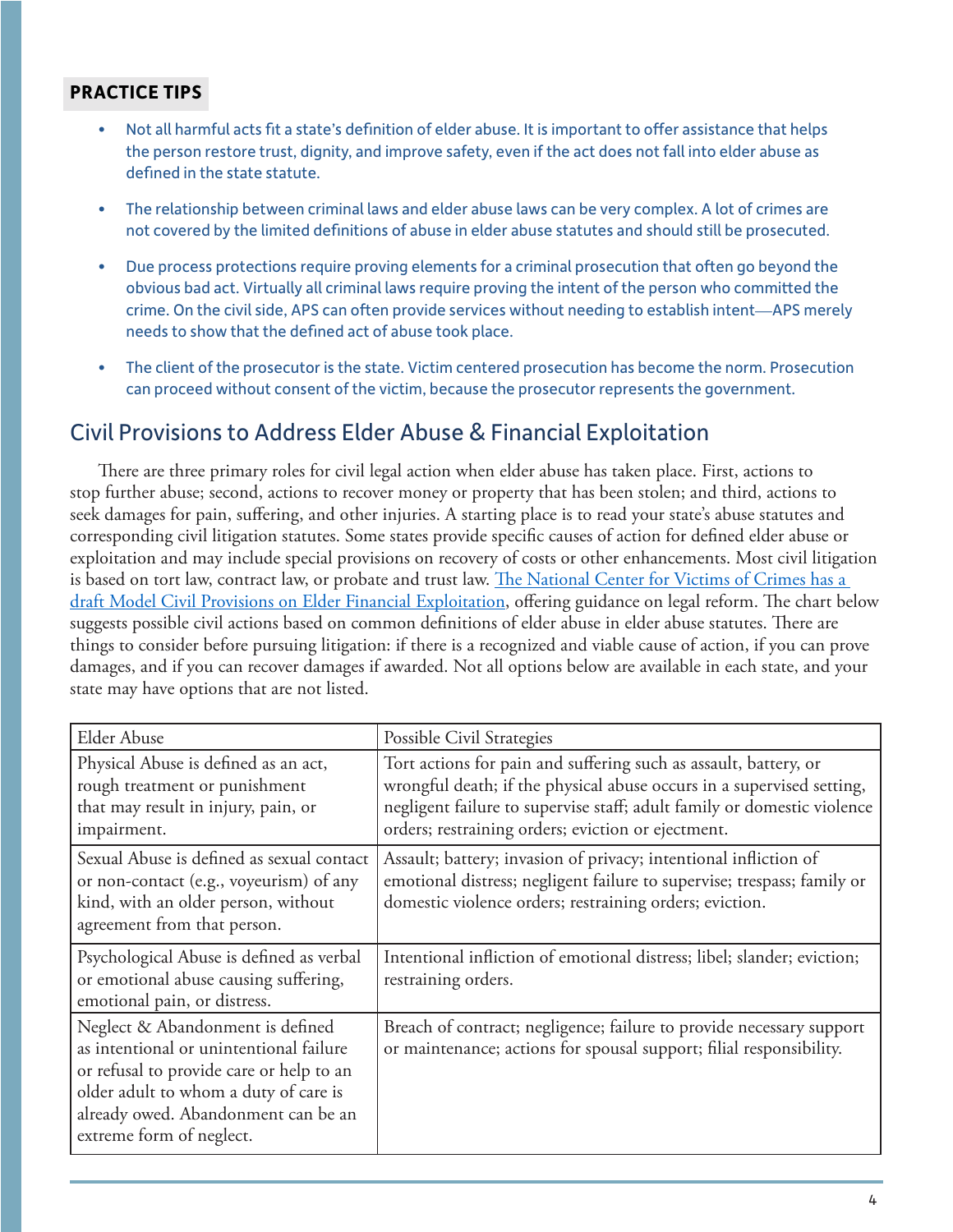### **PRACTICE TIPS**

- Not all harmful acts fit a state's definition of elder abuse. It is important to offer assistance that helps the person restore trust, dignity, and improve safety, even if the act does not fall into elder abuse as defined in the state statute.
- The relationship between criminal laws and elder abuse laws can be very complex. A lot of crimes are not covered by the limited definitions of abuse in elder abuse statutes and should still be prosecuted.
- Due process protections require proving elements for a criminal prosecution that often go beyond the obvious bad act. Virtually all criminal laws require proving the intent of the person who committed the crime. On the civil side, APS can often provide services without needing to establish intent—APS merely needs to show that the defined act of abuse took place.
- The client of the prosecutor is the state. Victim centered prosecution has become the norm. Prosecution can proceed without consent of the victim, because the prosecutor represents the government.

# Civil Provisions to Address Elder Abuse & Financial Exploitation

There are three primary roles for civil legal action when elder abuse has taken place. First, actions to stop further abuse; second, actions to recover money or property that has been stolen; and third, actions to seek damages for pain, suffering, and other injuries. A starting place is to read your state's abuse statutes and corresponding civil litigation statutes. Some states provide specific causes of action for defined elder abuse or exploitation and may include special provisions on recovery of costs or other enhancements. Most civil litigation is based on tort law, contract law, or probate and trust law. The National Center for Victims of Crimes has a [draft Model Civil Provisions on Elder Financial Exploitation,](https://www.elderjusticecal.org/uploads/1/0/1/7/101741090/model_civil_provisions_on_elder_financial_exploitation.pdf) offering guidance on legal reform. The chart below suggests possible civil actions based on common definitions of elder abuse in elder abuse statutes. There are things to consider before pursuing litigation: if there is a recognized and viable cause of action, if you can prove damages, and if you can recover damages if awarded. Not all options below are available in each state, and your state may have options that are not listed.

| <b>Elder Abuse</b>                                                                                                                                                                                                                  | Possible Civil Strategies                                                                                                                                                                                                                                                  |
|-------------------------------------------------------------------------------------------------------------------------------------------------------------------------------------------------------------------------------------|----------------------------------------------------------------------------------------------------------------------------------------------------------------------------------------------------------------------------------------------------------------------------|
| Physical Abuse is defined as an act,<br>rough treatment or punishment<br>that may result in injury, pain, or<br>impairment.                                                                                                         | Tort actions for pain and suffering such as assault, battery, or<br>wrongful death; if the physical abuse occurs in a supervised setting,<br>negligent failure to supervise staff; adult family or domestic violence<br>orders; restraining orders; eviction or ejectment. |
| Sexual Abuse is defined as sexual contact<br>or non-contact (e.g., voyeurism) of any<br>kind, with an older person, without<br>agreement from that person.                                                                          | Assault; battery; invasion of privacy; intentional infliction of<br>emotional distress; negligent failure to supervise; trespass; family or<br>domestic violence orders; restraining orders; eviction.                                                                     |
| Psychological Abuse is defined as verbal<br>or emotional abuse causing suffering,<br>emotional pain, or distress.                                                                                                                   | Intentional infliction of emotional distress; libel; slander; eviction;<br>restraining orders.                                                                                                                                                                             |
| Neglect & Abandonment is defined<br>as intentional or unintentional failure<br>or refusal to provide care or help to an<br>older adult to whom a duty of care is<br>already owed. Abandonment can be an<br>extreme form of neglect. | Breach of contract; negligence; failure to provide necessary support<br>or maintenance; actions for spousal support; filial responsibility.                                                                                                                                |